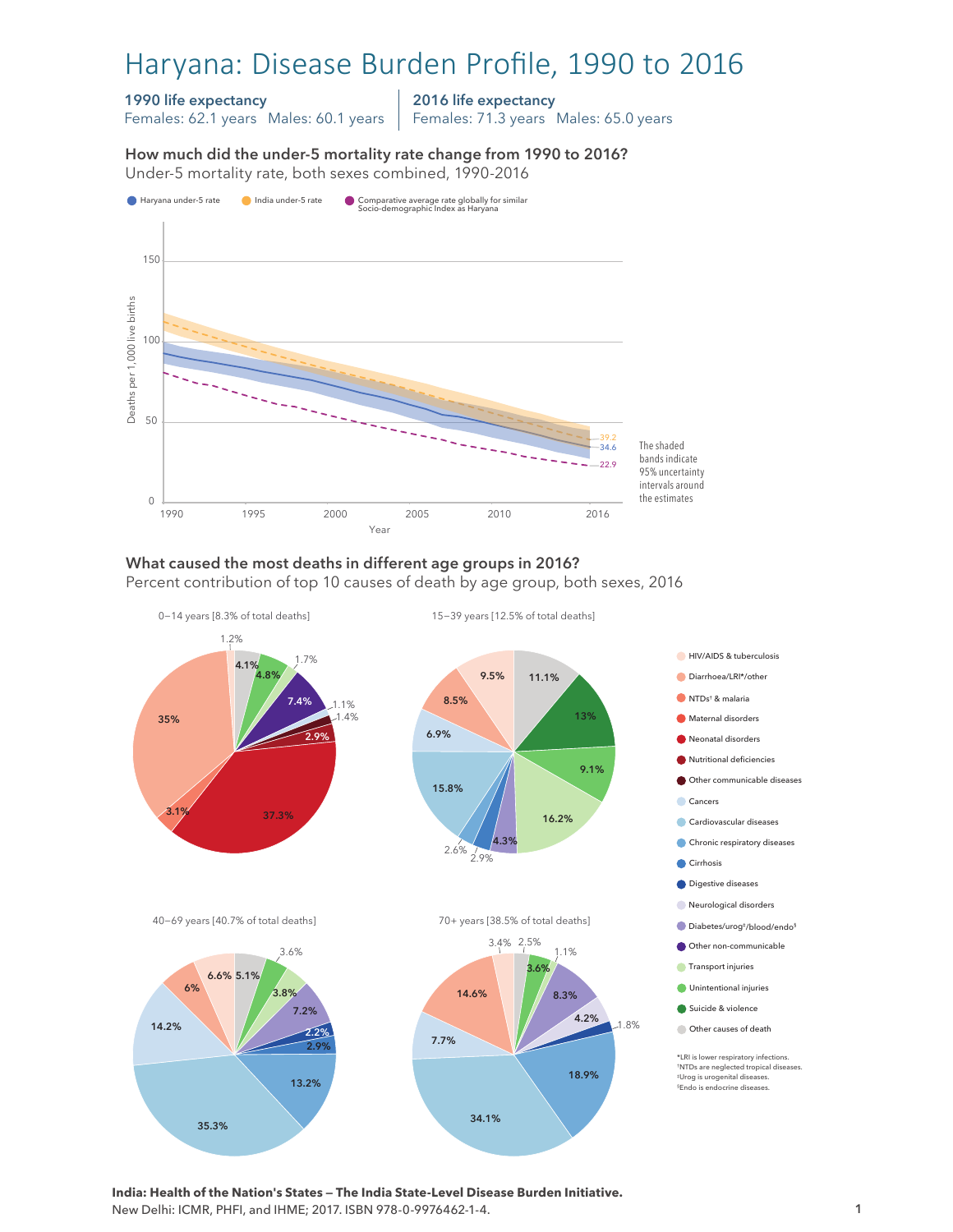# Haryana: Disease Burden Profile, 1990 to 2016

### 1990 life expectancy

Females: 62.1 years Males: 60.1 years

2016 life expectancy

Females: 71.3 years Males: 65.0 years

How much did the under-5 mortality rate change from 1990 to 2016?

How much did the under-5 mortality rate change from 1990 to 2016? Under-5 mortality rate, both sexes combined, 1990-2016 Under-5 mortality rate, both sexes combined, 1990-2016



## What caused the most deaths in different age groups in 2016?

Percent contribution of top 10 causes of death by age group, both sexes, 2016



**India: Health of the Nation's States — The India State-Level Disease Burden Initiative.**  New Delhi: ICMR, PHFI, and IHME; 2017. ISBN 978-0-9976462-1-4.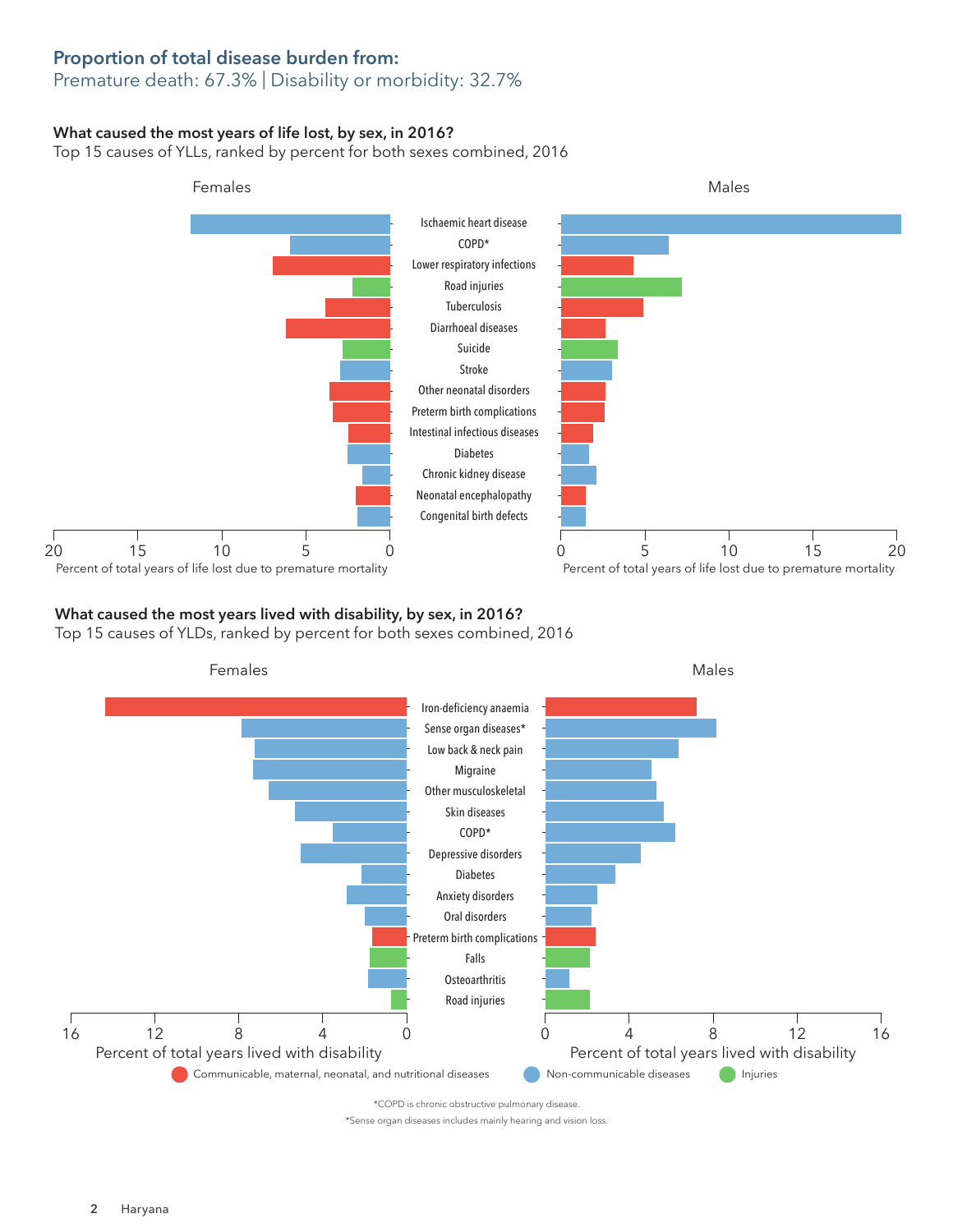# Proportion of total disease burden from:

## Premature death: 67.3% | Disability or morbidity: 32.7%

#### What caused the most years of life lost, by sex, in 2016?

Top 15 causes of YLLs, ranked by percent for both sexes combined, 2016



### What caused the most years lived with disability, by sex, in 2016?

Top 15 causes of YLDs, ranked by percent for both sexes combined, 2016



\*Sense organ diseases includes mainly hearing and vision loss.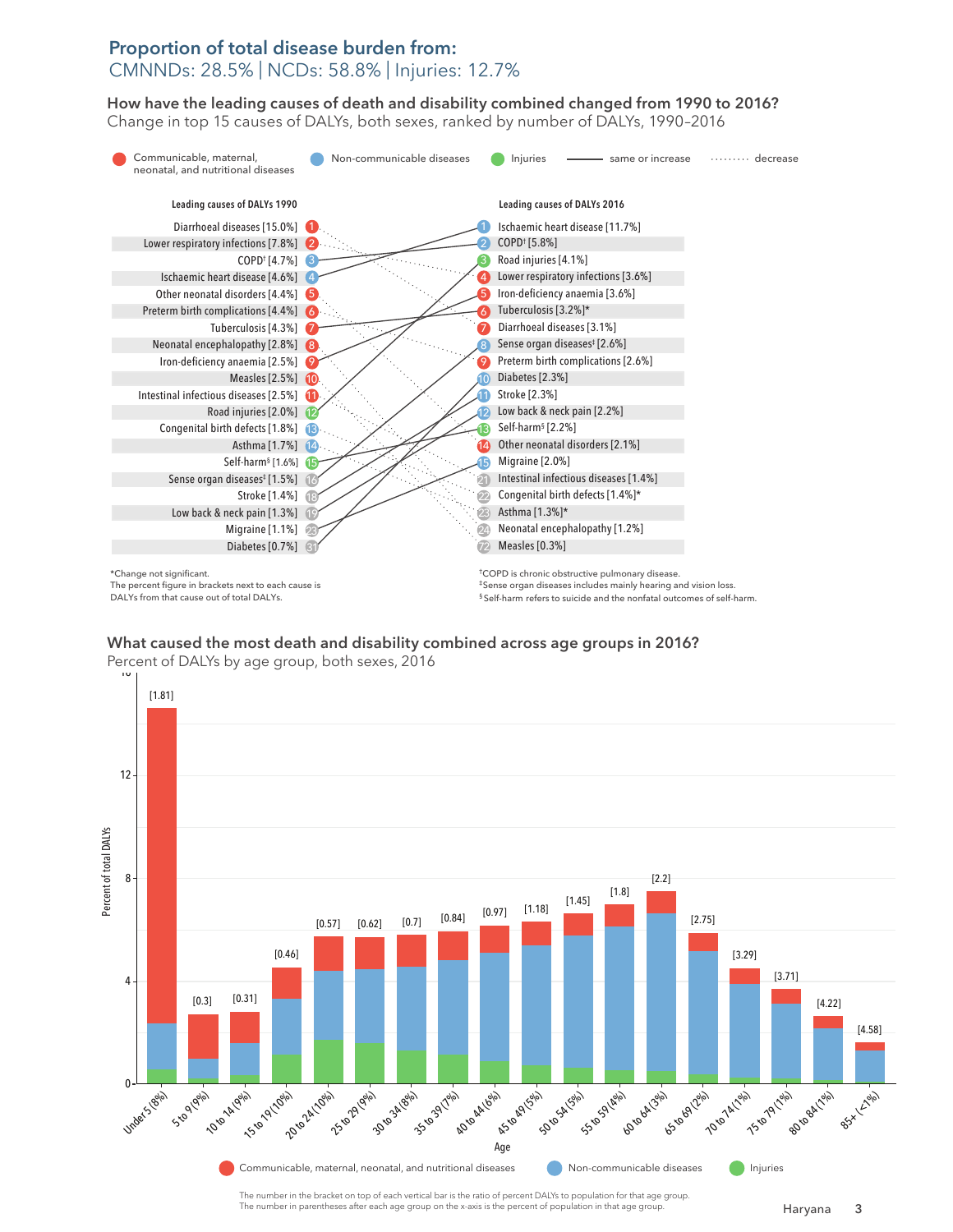## Proportion of total disease burden from: CMNNDs: 28.5% | NCDs: 58.8% | Injuries: 12.7%

How have the leading causes of death and disability combined changed from 1990 to 2016? How have the leading causes of death and disability combined changed from 1990 to 2016? Change in top 15 causes of DALYs, both sexes, ranked by number of DALYs, 1990–2016 Change in top 15 causes of DALYs, both sexes, ranked by number of DALYs, 1990–2016



The percent figure in brackets next to each cause is DALYs from that cause out of total DALYs.

‡Sense organ diseases includes mainly hearing and vision loss. § Self-harm refers to suicide and the nonfatal outcomes of self-harm.

What caused the most death and disability combined across age groups in 2016? What caused the most death and disability combined across age groups in 2016? Percent of DALYs by age group, both sexes, 2016 Percent of DALYs by age group, both sexes, 2016



The number in the bracket on top of each vertical bar is the ratio of percent DALYs to population for that age group. The number in parentheses after each age group on the x-axis is the percent of population in that age group.